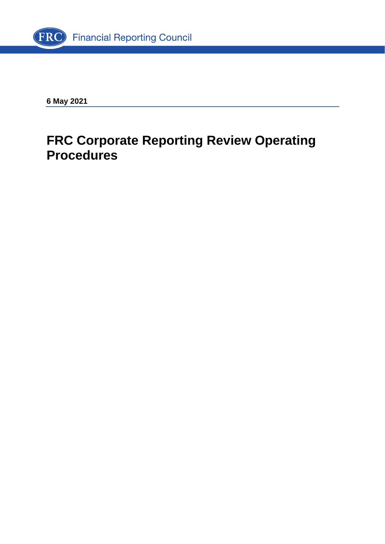

**6 May 2021**

# **FRC Corporate Reporting Review Operating Procedures**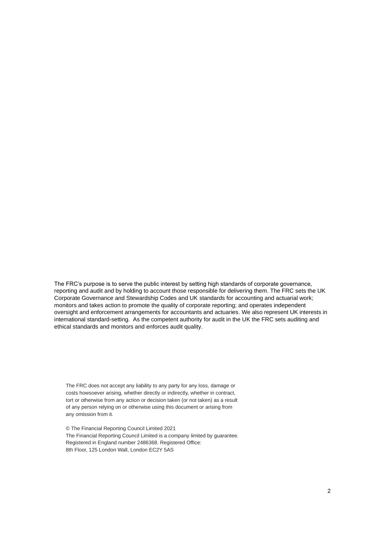The FRC's purpose is to serve the public interest by setting high standards of corporate governance, reporting and audit and by holding to account those responsible for delivering them. The FRC sets the UK Corporate Governance and Stewardship Codes and UK standards for accounting and actuarial work; monitors and takes action to promote the quality of corporate reporting; and operates independent oversight and enforcement arrangements for accountants and actuaries. We also represent UK interests in international standard-setting. As the competent authority for audit in the UK the FRC sets auditing and ethical standards and monitors and enforces audit quality.

The FRC does not accept any liability to any party for any loss, damage or costs howsoever arising, whether directly or indirectly, whether in contract, tort or otherwise from any action or decision taken (or not taken) as a result of any person relying on or otherwise using this document or arising from any omission from it.

© The Financial Reporting Council Limited 2021 The Financial Reporting Council Limited is a company limited by guarantee. Registered in England number 2486368. Registered Office: 8th Floor, 125 London Wall, London EC2Y 5AS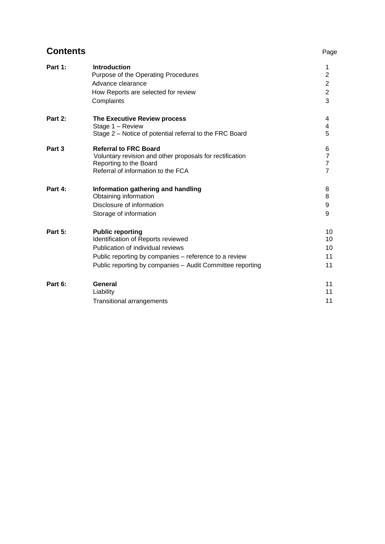## **Contents** Page

| Part 1:        | <b>Introduction</b><br>Purpose of the Operating Procedures | 1<br>$\overline{2}$              |
|----------------|------------------------------------------------------------|----------------------------------|
|                | Advance clearance                                          | $\overline{c}$                   |
|                | How Reports are selected for review                        | $\overline{c}$                   |
|                | Complaints                                                 | 3                                |
| Part 2:        | The Executive Review process                               | 4                                |
|                | Stage 1 - Review                                           | 4                                |
|                | Stage 2 – Notice of potential referral to the FRC Board    | 5                                |
| Part 3         | <b>Referral to FRC Board</b>                               | 6                                |
|                | Voluntary revision and other proposals for rectification   | $\overline{\mathbf{7}}$          |
|                | Reporting to the Board                                     | $\overline{7}$<br>$\overline{7}$ |
|                | Referral of information to the FCA                         |                                  |
| Part 4:        | Information gathering and handling                         | 8                                |
|                | Obtaining information                                      | 8                                |
|                | Disclosure of information                                  | 9                                |
|                | Storage of information                                     | 9                                |
| <b>Part 5:</b> | <b>Public reporting</b>                                    | 10                               |
|                | Identification of Reports reviewed                         | 10                               |
|                | Publication of individual reviews                          | 10                               |
|                | Public reporting by companies - reference to a review      | 11                               |
|                | Public reporting by companies - Audit Committee reporting  | 11                               |
| Part 6:        | <b>General</b>                                             | 11                               |
|                | Liability                                                  | 11                               |
|                | <b>Transitional arrangements</b>                           | 11                               |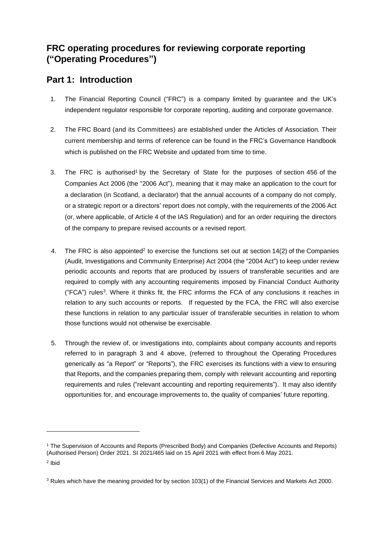## **FRC operating procedures for reviewing corporate reporting ("Operating Procedures")**

## **Part 1: Introduction**

- 1. The Financial Reporting Council ("FRC") is a company limited by guarantee and the UK's independent regulator responsible for corporate reporting, auditing and corporate governance.
- 2. The FRC Board (and its Committees) are established under the Articles of Association. Their current membership and terms of reference can be found in the FRC's Governance Handbook which is published on the FRC Website and updated from time to time.
- 3. The FRC is authorised<sup>1</sup> by the Secretary of State for the purposes of section 456 of the Companies Act 2006 (the "2006 Act"), meaning that it may make an application to the court for a declaration (in Scotland, a declarator) that the annual accounts of a company do not comply, or a strategic report or a directors' report does not comply, with the requirements of the 2006 Act (or, where applicable, of Article 4 of the IAS Regulation) and for an order requiring the directors of the company to prepare revised accounts or a revised report.
- 4. The FRC is also appointed<sup>2</sup> to exercise the functions set out at section 14(2) of the Companies (Audit, Investigations and Community Enterprise) Act 2004 (the "2004 Act") to keep under review periodic accounts and reports that are produced by issuers of transferable securities and are required to comply with any accounting requirements imposed by Financial Conduct Authority ("FCA") rules 3 . Where it thinks fit, the FRC informs the FCA of any conclusions it reaches in relation to any such accounts or reports. If requested by the FCA, the FRC will also exercise these functions in relation to any particular issuer of transferable securities in relation to whom those functions would not otherwise be exercisable.
- 5. Through the review of, or investigations into, complaints about company accounts and reports referred to in paragraph 3 and 4 above, (referred to throughout the Operating Procedures generically as "a Report" or "Reports"), the FRC exercises its functions with a view to ensuring that Reports, and the companies preparing them, comply with relevant accounting and reporting requirements and rules ("relevant accounting and reporting requirements"). It may also identify opportunities for, and encourage improvements to, the quality of companies' future reporting.

<sup>1</sup> The Supervision of Accounts and Reports (Prescribed Body) and Companies (Defective Accounts and Reports) (Authorised Person) Order 2021. SI 2021/465 laid on 15 April 2021 with effect from 6 May 2021. 2 Ibid

<sup>3</sup> Rules which have the meaning provided for by section 103(1) of the Financial Services and Markets Act 2000.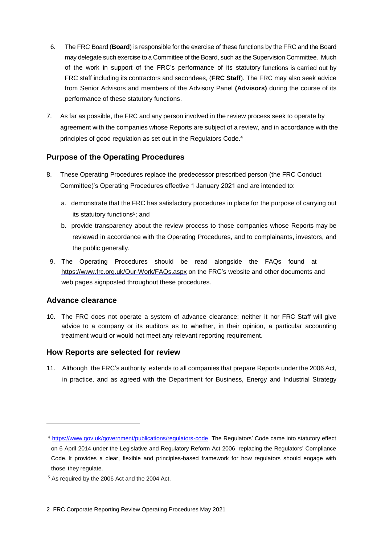- 6. The FRC Board (**Board**) is responsible for the exercise of these functions by the FRC and the Board may delegate such exercise to a Committee of the Board, such as the Supervision Committee. Much of the work in support of the FRC's performance of its statutory functions is carried out by FRC staff including its contractors and secondees, (**FRC Staff**). The FRC may also seek advice from Senior Advisors and members of the Advisory Panel **(Advisors)** during the course of its performance of these statutory functions.
- 7. As far as possible, the FRC and any person involved in the review process seek to operate by agreement with the companies whose Reports are subject of a review, and in accordance with the principles of good regulation as set out in the Regulators Code. 4

### **Purpose of the Operating Procedures**

- 8. These Operating Procedures replace the predecessor prescribed person (the FRC Conduct Committee)'s Operating Procedures effective 1 January 2021 and are intended to:
	- a. demonstrate that the FRC has satisfactory procedures in place for the purpose of carrying out its statutory functions 5 ; and
	- b. provide transparency about the review process to those companies whose Reports may be reviewed in accordance with the Operating Procedures, and to complainants, investors, and the public generally.
- 9. The Operating Procedures should be read alongside the FAQs found at <https://www.frc.org.uk/Our-Work/FAQs.aspx> on the FRC's website and other documents and web pages signposted throughout these procedures.

#### **Advance clearance**

10. The FRC does not operate a system of advance clearance; neither it nor FRC Staff will give advice to a company or its auditors as to whether, in their opinion, a particular accounting treatment would or would not meet any relevant reporting requirement.

#### **How Reports are selected for review**

11. Although the FRC's authority extends to all companies that prepare Reports under the 2006 Act, in practice, and as agreed with the Department for Business, Energy and Industrial Strategy

<sup>4</sup> <https://www.gov.uk/government/publications/regulators-code> The Regulators' Code came into statutory effect on 6 April 2014 under the Legislative and Regulatory Reform Act 2006, replacing the Regulators' Compliance Code. It provides a clear, flexible and principles-based framework for how regulators should engage with those they regulate.

<sup>5</sup> As required by the 2006 Act and the 2004 Act.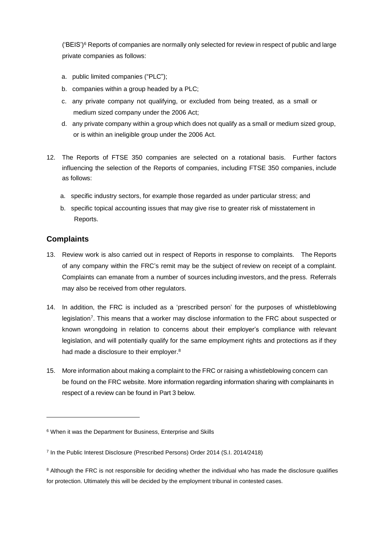('BEIS') <sup>6</sup> Reports of companies are normally only selected for review in respect of public and large private companies as follows:

- a. public limited companies ("PLC");
- b. companies within a group headed by a PLC;
- c. any private company not qualifying, or excluded from being treated, as a small or medium sized company under the 2006 Act;
- d. any private company within a group which does not qualify as a small or medium sized group, or is within an ineligible group under the 2006 Act.
- 12. The Reports of FTSE 350 companies are selected on a rotational basis. Further factors influencing the selection of the Reports of companies, including FTSE 350 companies, include as follows:
	- a. specific industry sectors, for example those regarded as under particular stress; and
	- b. specific topical accounting issues that may give rise to greater risk of misstatement in Reports.

#### **Complaints**

- 13. Review work is also carried out in respect of Reports in response to complaints. The Reports of any company within the FRC's remit may be the subject of review on receipt of a complaint. Complaints can emanate from a number of sources including investors, and the press. Referrals may also be received from other regulators.
- 14. In addition, the FRC is included as a 'prescribed person' for the purposes of whistleblowing legislation<sup>7</sup>. This means that a worker may disclose information to the FRC about suspected or known wrongdoing in relation to concerns about their employer's compliance with relevant legislation, and will potentially qualify for the same employment rights and protections as if they had made a disclosure to their employer.<sup>8</sup>
- 15. More information about making a complaint to the FRC or raising a whistleblowing concern can be found on the FRC website. More information regarding information sharing with complainants in respect of a review can be found in Part 3 below.

<sup>6</sup> When it was the Department for Business, Enterprise and Skills

<sup>&</sup>lt;sup>7</sup> In the Public Interest Disclosure (Prescribed Persons) Order 2014 (S.I. 2014/2418)

<sup>&</sup>lt;sup>8</sup> Although the FRC is not responsible for deciding whether the individual who has made the disclosure qualifies for protection. Ultimately this will be decided by the employment tribunal in contested cases.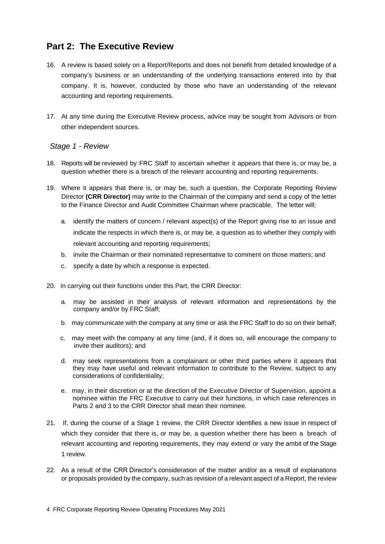## **Part 2: The Executive Review**

- 16. A review is based solely on a Report/Reports and does not benefit from detailed knowledge of a company's business or an understanding of the underlying transactions entered into by that company. It is, however, conducted by those who have an understanding of the relevant accounting and reporting requirements.
- 17. At any time during the Executive Review process, advice may be sought from Advisors or from other independent sources.

#### *Stage 1 - Review*

- 18. Reports will be reviewed by FRC Staff to ascertain whether it appears that there is, or may be, a question whether there is a breach of the relevant accounting and reporting requirements.
- 19. Where it appears that there is, or may be, such a question, the Corporate Reporting Review Director **(CRR Director)** may write to the Chairman of the company and send a copy of the letter to the Finance Director and Audit Committee Chairman where practicable. The letter will;
	- a. identify the matters of concern / relevant aspect(s) of the Report giving rise to an issue and indicate the respects in which there is, or may be, a question as to whether they comply with relevant accounting and reporting requirements;
	- b. invite the Chairman or their nominated representative to comment on those matters; and
	- c. specify a date by which a response is expected.
- 20. In carrying out their functions under this Part, the CRR Director:
	- a. may be assisted in their analysis of relevant information and representations by the company and/or by FRC Staff;
	- b. may communicate with the company at any time or ask the FRC Staff to do so on their behalf;
	- c. may meet with the company at any time (and, if it does so, will encourage the company to invite their auditors); and
	- d. may seek representations from a complainant or other third parties where it appears that they may have useful and relevant information to contribute to the Review, subject to any considerations of confidentiality;
	- e. may, in their discretion or at the direction of the Executive Director of Supervision, appoint a nominee within the FRC Executive to carry out their functions, in which case references in Parts 2 and 3 to the CRR Director shall mean their nominee.
- 21. If, during the course of a Stage 1 review, the CRR Director identifies a new issue in respect of which they consider that there is, or may be, a question whether there has been a breach of relevant accounting and reporting requirements, they may extend or vary the ambit of the Stage 1 review.
- 22. As a result of the CRR Director's consideration of the matter and/or as a result of explanations or proposals provided by the company, such as revision of a relevant aspect of a Report, the review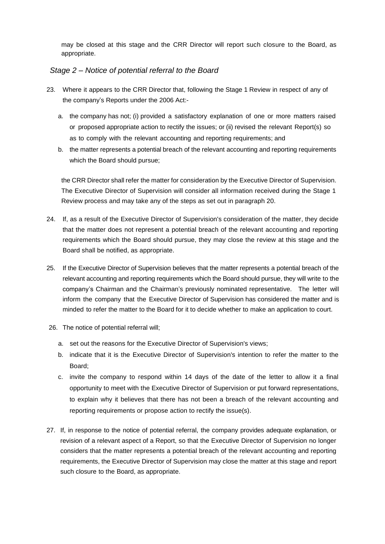may be closed at this stage and the CRR Director will report such closure to the Board, as appropriate.

#### *Stage 2 – Notice of potential referral to the Board*

- 23. Where it appears to the CRR Director that, following the Stage 1 Review in respect of any of the company's Reports under the 2006 Act:
	- a. the company has not; (i) provided a satisfactory explanation of one or more matters raised or proposed appropriate action to rectify the issues; or (ii) revised the relevant Report(s) so as to comply with the relevant accounting and reporting requirements; and
	- b. the matter represents a potential breach of the relevant accounting and reporting requirements which the Board should pursue;

the CRR Director shall refer the matter for consideration by the Executive Director of Supervision. The Executive Director of Supervision will consider all information received during the Stage 1 Review process and may take any of the steps as set out in paragraph 20.

- 24. If, as a result of the Executive Director of Supervision's consideration of the matter, they decide that the matter does not represent a potential breach of the relevant accounting and reporting requirements which the Board should pursue, they may close the review at this stage and the Board shall be notified, as appropriate.
- 25. If the Executive Director of Supervision believes that the matter represents a potential breach of the relevant accounting and reporting requirements which the Board should pursue, they will write to the company's Chairman and the Chairman's previously nominated representative. The letter will inform the company that the Executive Director of Supervision has considered the matter and is minded to refer the matter to the Board for it to decide whether to make an application to court.
- 26. The notice of potential referral will;
	- a. set out the reasons for the Executive Director of Supervision's views;
	- b. indicate that it is the Executive Director of Supervision's intention to refer the matter to the Board;
	- c. invite the company to respond within 14 days of the date of the letter to allow it a final opportunity to meet with the Executive Director of Supervision or put forward representations, to explain why it believes that there has not been a breach of the relevant accounting and reporting requirements or propose action to rectify the issue(s).
- 27. If, in response to the notice of potential referral, the company provides adequate explanation, or revision of a relevant aspect of a Report, so that the Executive Director of Supervision no longer considers that the matter represents a potential breach of the relevant accounting and reporting requirements, the Executive Director of Supervision may close the matter at this stage and report such closure to the Board, as appropriate.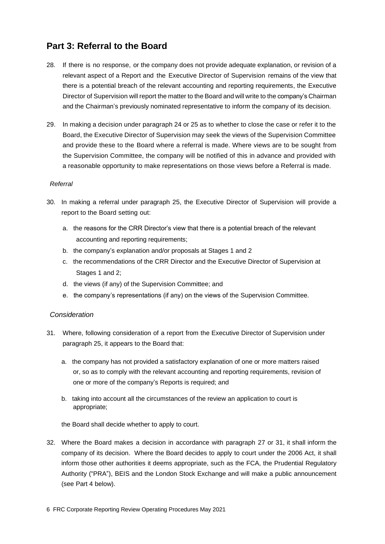## **Part 3: Referral to the Board**

- 28. If there is no response, or the company does not provide adequate explanation, or revision of a relevant aspect of a Report and the Executive Director of Supervision remains of the view that there is a potential breach of the relevant accounting and reporting requirements, the Executive Director of Supervision will report the matter to the Board and will write to the company's Chairman and the Chairman's previously nominated representative to inform the company of its decision.
- 29. In making a decision under paragraph 24 or 25 as to whether to close the case or refer it to the Board, the Executive Director of Supervision may seek the views of the Supervision Committee and provide these to the Board where a referral is made. Where views are to be sought from the Supervision Committee, the company will be notified of this in advance and provided with a reasonable opportunity to make representations on those views before a Referral is made.

#### *Referral*

- 30. In making a referral under paragraph 25, the Executive Director of Supervision will provide a report to the Board setting out:
	- a. the reasons for the CRR Director's view that there is a potential breach of the relevant accounting and reporting requirements;
	- b. the company's explanation and/or proposals at Stages 1 and 2
	- c. the recommendations of the CRR Director and the Executive Director of Supervision at Stages 1 and 2;
	- d. the views (if any) of the Supervision Committee; and
	- e. the company's representations (if any) on the views of the Supervision Committee.

#### *Consideration*

- 31. Where, following consideration of a report from the Executive Director of Supervision under paragraph 25, it appears to the Board that:
	- a. the company has not provided a satisfactory explanation of one or more matters raised or, so as to comply with the relevant accounting and reporting requirements, revision of one or more of the company's Reports is required; and
	- b. taking into account all the circumstances of the review an application to court is appropriate;

the Board shall decide whether to apply to court.

32. Where the Board makes a decision in accordance with paragraph 27 or 31, it shall inform the company of its decision. Where the Board decides to apply to court under the 2006 Act, it shall inform those other authorities it deems appropriate, such as the FCA, the Prudential Regulatory Authority ("PRA"), BEIS and the London Stock Exchange and will make a public announcement (see Part 4 below).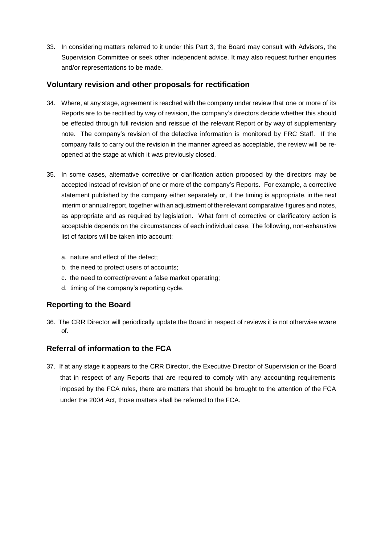33. In considering matters referred to it under this Part 3, the Board may consult with Advisors, the Supervision Committee or seek other independent advice. It may also request further enquiries and/or representations to be made.

#### **Voluntary revision and other proposals for rectification**

- 34. Where, at any stage, agreement is reached with the company under review that one or more of its Reports are to be rectified by way of revision, the company's directors decide whether this should be effected through full revision and reissue of the relevant Report or by way of supplementary note. The company's revision of the defective information is monitored by FRC Staff. If the company fails to carry out the revision in the manner agreed as acceptable, the review will be reopened at the stage at which it was previously closed.
- 35. In some cases, alternative corrective or clarification action proposed by the directors may be accepted instead of revision of one or more of the company's Reports. For example, a corrective statement published by the company either separately or, if the timing is appropriate, in the next interim or annual report, together with an adjustment of the relevant comparative figures and notes, as appropriate and as required by legislation. What form of corrective or clarificatory action is acceptable depends on the circumstances of each individual case. The following, non-exhaustive list of factors will be taken into account:
	- a. nature and effect of the defect;
	- b. the need to protect users of accounts;
	- c. the need to correct/prevent a false market operating;
	- d. timing of the company's reporting cycle.

#### **Reporting to the Board**

36. The CRR Director will periodically update the Board in respect of reviews it is not otherwise aware of.

#### **Referral of information to the FCA**

37. If at any stage it appears to the CRR Director, the Executive Director of Supervision or the Board that in respect of any Reports that are required to comply with any accounting requirements imposed by the FCA rules, there are matters that should be brought to the attention of the FCA under the 2004 Act, those matters shall be referred to the FCA.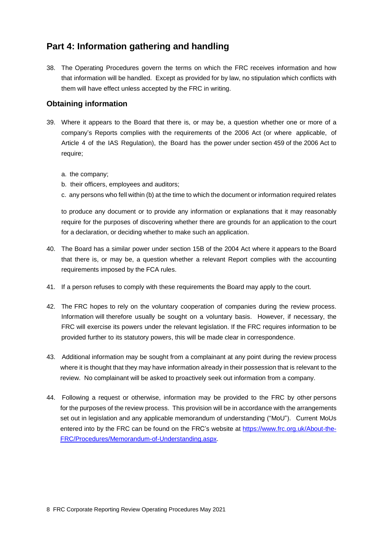## **Part 4: Information gathering and handling**

38. The Operating Procedures govern the terms on which the FRC receives information and how that information will be handled. Except as provided for by law, no stipulation which conflicts with them will have effect unless accepted by the FRC in writing.

#### **Obtaining information**

- 39. Where it appears to the Board that there is, or may be, a question whether one or more of a company's Reports complies with the requirements of the 2006 Act (or where applicable, of Article 4 of the IAS Regulation), the Board has the power under section 459 of the 2006 Act to require;
	- a. the company;
	- b. their officers, employees and auditors;
	- c. any persons who fell within (b) at the time to which the document or information required relates

to produce any document or to provide any information or explanations that it may reasonably require for the purposes of discovering whether there are grounds for an application to the court for a declaration, or deciding whether to make such an application.

- 40. The Board has a similar power under section 15B of the 2004 Act where it appears to the Board that there is, or may be, a question whether a relevant Report complies with the accounting requirements imposed by the FCA rules.
- 41. If a person refuses to comply with these requirements the Board may apply to the court.
- 42. The FRC hopes to rely on the voluntary cooperation of companies during the review process. Information will therefore usually be sought on a voluntary basis. However, if necessary, the FRC will exercise its powers under the relevant legislation. If the FRC requires information to be provided further to its statutory powers, this will be made clear in correspondence.
- 43. Additional information may be sought from a complainant at any point during the review process where it is thought that they may have information already in their possession that is relevant to the review. No complainant will be asked to proactively seek out information from a company.
- 44. Following a request or otherwise, information may be provided to the FRC by other persons for the purposes of the review process. This provision will be in accordance with the arrangements set out in legislation and any applicable memorandum of understanding ("MoU"). Current MoUs entered into by the FRC can be found on the FRC's website at [https://www.frc.org.uk/About-the-](https://www.frc.org.uk/About-the-FRC/Procedures/Memorandum-of-Understanding.aspx)[FRC/Procedures/Memorandum-of-Understanding.aspx.](https://www.frc.org.uk/About-the-FRC/Procedures/Memorandum-of-Understanding.aspx)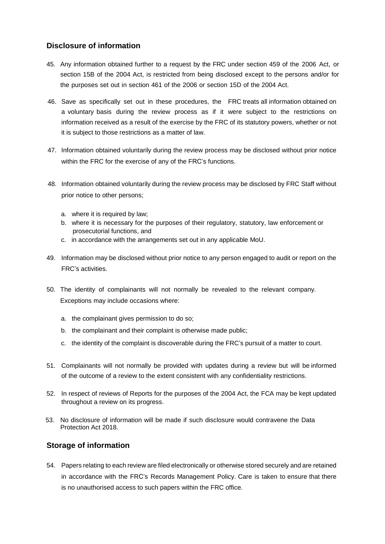#### **Disclosure of information**

- 45. Any information obtained further to a request by the FRC under section 459 of the 2006 Act, or section 15B of the 2004 Act, is restricted from being disclosed except to the persons and/or for the purposes set out in section 461 of the 2006 or section 15D of the 2004 Act.
- 46. Save as specifically set out in these procedures, the FRC treats all information obtained on a voluntary basis during the review process as if it were subject to the restrictions on information received as a result of the exercise by the FRC of its statutory powers, whether or not it is subject to those restrictions as a matter of law.
- 47. Information obtained voluntarily during the review process may be disclosed without prior notice within the FRC for the exercise of any of the FRC's functions.
- 48. Information obtained voluntarily during the review process may be disclosed by FRC Staff without prior notice to other persons;
	- a. where it is required by law;
	- b. where it is necessary for the purposes of their regulatory, statutory, law enforcement or prosecutorial functions, and
	- c. in accordance with the arrangements set out in any applicable MoU.
- 49. Information may be disclosed without prior notice to any person engaged to audit or report on the FRC's activities.
- 50. The identity of complainants will not normally be revealed to the relevant company. Exceptions may include occasions where:
	- a. the complainant gives permission to do so;
	- b. the complainant and their complaint is otherwise made public;
	- c. the identity of the complaint is discoverable during the FRC's pursuit of a matter to court.
- 51. Complainants will not normally be provided with updates during a review but will be informed of the outcome of a review to the extent consistent with any confidentiality restrictions.
- 52. In respect of reviews of Reports for the purposes of the 2004 Act, the FCA may be kept updated throughout a review on its progress.
- 53. No disclosure of information will be made if such disclosure would contravene the Data Protection Act 2018.

#### **Storage of information**

54. Papers relating to each review are filed electronically or otherwise stored securely and are retained in accordance with the FRC's Records Management Policy. Care is taken to ensure that there is no unauthorised access to such papers within the FRC office.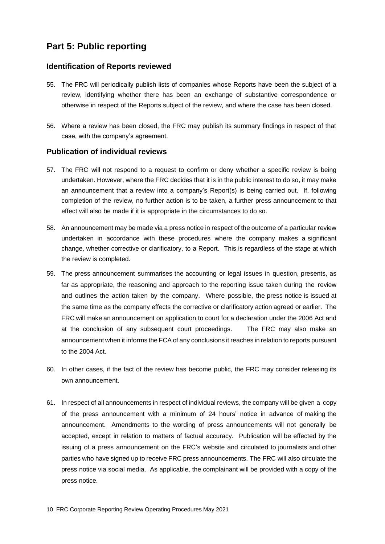## **Part 5: Public reporting**

#### **Identification of Reports reviewed**

- 55. The FRC will periodically publish lists of companies whose Reports have been the subject of a review, identifying whether there has been an exchange of substantive correspondence or otherwise in respect of the Reports subject of the review, and where the case has been closed.
- 56. Where a review has been closed, the FRC may publish its summary findings in respect of that case, with the company's agreement.

#### **Publication of individual reviews**

- 57. The FRC will not respond to a request to confirm or deny whether a specific review is being undertaken. However, where the FRC decides that it is in the public interest to do so, it may make an announcement that a review into a company's Report(s) is being carried out. If, following completion of the review, no further action is to be taken, a further press announcement to that effect will also be made if it is appropriate in the circumstances to do so.
- 58. An announcement may be made via a press notice in respect of the outcome of a particular review undertaken in accordance with these procedures where the company makes a significant change, whether corrective or clarificatory, to a Report. This is regardless of the stage at which the review is completed.
- 59. The press announcement summarises the accounting or legal issues in question, presents, as far as appropriate, the reasoning and approach to the reporting issue taken during the review and outlines the action taken by the company. Where possible, the press notice is issued at the same time as the company effects the corrective or clarificatory action agreed or earlier. The FRC will make an announcement on application to court for a declaration under the 2006 Act and at the conclusion of any subsequent court proceedings. The FRC may also make an announcement when it informs the FCA of any conclusions it reaches in relation to reports pursuant to the 2004 Act.
- 60. In other cases, if the fact of the review has become public, the FRC may consider releasing its own announcement.
- 61. In respect of all announcements in respect of individual reviews, the company will be given a copy of the press announcement with a minimum of 24 hours' notice in advance of making the announcement. Amendments to the wording of press announcements will not generally be accepted, except in relation to matters of factual accuracy. Publication will be effected by the issuing of a press announcement on the FRC's website and circulated to journalists and other parties who have signed up to receive FRC press announcements. The FRC will also circulate the press notice via social media. As applicable, the complainant will be provided with a copy of the press notice.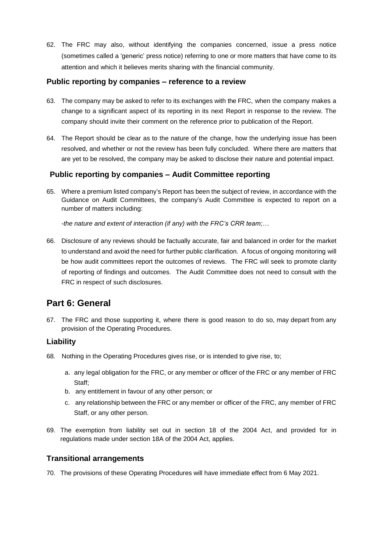62. The FRC may also, without identifying the companies concerned, issue a press notice (sometimes called a 'generic' press notice) referring to one or more matters that have come to its attention and which it believes merits sharing with the financial community.

#### **Public reporting by companies – reference to a review**

- 63. The company may be asked to refer to its exchanges with the FRC, when the company makes a change to a significant aspect of its reporting in its next Report in response to the review. The company should invite their comment on the reference prior to publication of the Report.
- 64. The Report should be clear as to the nature of the change, how the underlying issue has been resolved, and whether or not the review has been fully concluded. Where there are matters that are yet to be resolved, the company may be asked to disclose their nature and potential impact.

#### **Public reporting by companies – Audit Committee reporting**

65. Where a premium listed company's Report has been the subject of review, in accordance with the Guidance on Audit Committees, the company's Audit Committee is expected to report on a number of matters including:

*-the nature and extent of interaction (if any) with the FRC's CRR team;…*

66. Disclosure of any reviews should be factually accurate, fair and balanced in order for the market to understand and avoid the need for further public clarification. A focus of ongoing monitoring will be how audit committees report the outcomes of reviews. The FRC will seek to promote clarity of reporting of findings and outcomes. The Audit Committee does not need to consult with the FRC in respect of such disclosures.

## **Part 6: General**

67. The FRC and those supporting it, where there is good reason to do so, may depart from any provision of the Operating Procedures.

#### **Liability**

- 68. Nothing in the Operating Procedures gives rise, or is intended to give rise, to;
	- a. any legal obligation for the FRC, or any member or officer of the FRC or any member of FRC Staff;
	- b. any entitlement in favour of any other person; or
	- c. any relationship between the FRC or any member or officer of the FRC, any member of FRC Staff, or any other person.
- 69. The exemption from liability set out in section 18 of the 2004 Act, and provided for in regulations made under section 18A of the 2004 Act, applies.

#### **Transitional arrangements**

70. The provisions of these Operating Procedures will have immediate effect from 6 May 2021.